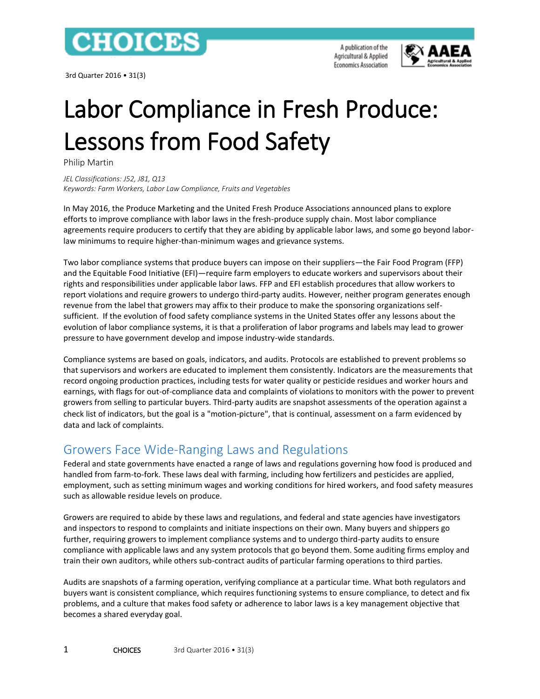

3rd Quarter 2016 • 31(3)

A publication of the Agricultural & Applied **Economics Association** 



# Labor Compliance in Fresh Produce: Lessons from Food Safety

Philip Martin

*JEL Classifications: J52, J81, Q13 Keywords: Farm Workers, Labor Law Compliance, Fruits and Vegetables*

In May 2016, the Produce Marketing and the United Fresh Produce Associations announced plans to explore efforts to improve compliance with labor laws in the fresh-produce supply chain. Most labor compliance agreements require producers to certify that they are abiding by applicable labor laws, and some go beyond laborlaw minimums to require higher-than-minimum wages and grievance systems.

Two labor compliance systems that produce buyers can impose on their suppliers—the Fair Food Program (FFP) and the Equitable Food Initiative (EFI)—require farm employers to educate workers and supervisors about their rights and responsibilities under applicable labor laws. FFP and EFI establish procedures that allow workers to report violations and require growers to undergo third-party audits. However, neither program generates enough revenue from the label that growers may affix to their produce to make the sponsoring organizations selfsufficient. If the evolution of food safety compliance systems in the United States offer any lessons about the evolution of labor compliance systems, it is that a proliferation of labor programs and labels may lead to grower pressure to have government develop and impose industry-wide standards.

Compliance systems are based on goals, indicators, and audits. Protocols are established to prevent problems so that supervisors and workers are educated to implement them consistently. Indicators are the measurements that record ongoing production practices, including tests for water quality or pesticide residues and worker hours and earnings, with flags for out-of-compliance data and complaints of violations to monitors with the power to prevent growers from selling to particular buyers. Third-party audits are snapshot assessments of the operation against a check list of indicators, but the goal is a "motion-picture", that is continual, assessment on a farm evidenced by data and lack of complaints.

## Growers Face Wide-Ranging Laws and Regulations

Federal and state governments have enacted a range of laws and regulations governing how food is produced and handled from farm-to-fork. These laws deal with farming, including how fertilizers and pesticides are applied, employment, such as setting minimum wages and working conditions for hired workers, and food safety measures such as allowable residue levels on produce.

Growers are required to abide by these laws and regulations, and federal and state agencies have investigators and inspectors to respond to complaints and initiate inspections on their own. Many buyers and shippers go further, requiring growers to implement compliance systems and to undergo third-party audits to ensure compliance with applicable laws and any system protocols that go beyond them. Some auditing firms employ and train their own auditors, while others sub-contract audits of particular farming operations to third parties.

Audits are snapshots of a farming operation, verifying compliance at a particular time. What both regulators and buyers want is consistent compliance, which requires functioning systems to ensure compliance, to detect and fix problems, and a culture that makes food safety or adherence to labor laws is a key management objective that becomes a shared everyday goal.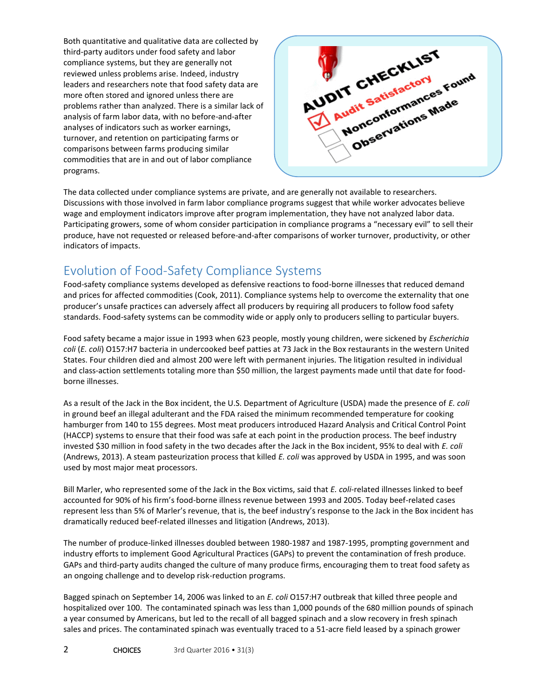Both quantitative and qualitative data are collected by third-party auditors under food safety and labor compliance systems, but they are generally not reviewed unless problems arise. Indeed, industry leaders and researchers note that food safety data are more often stored and ignored unless there are problems rather than analyzed. There is a similar lack of analysis of farm labor data, with no before-and-after analyses of indicators such as worker earnings, turnover, and retention on participating farms or comparisons between farms producing similar commodities that are in and out of labor compliance programs.



The data collected under compliance systems are private, and are generally not available to researchers. Discussions with those involved in farm labor compliance programs suggest that while worker advocates believe wage and employment indicators improve after program implementation, they have not analyzed labor data. Participating growers, some of whom consider participation in compliance programs a "necessary evil" to sell their produce, have not requested or released before-and-after comparisons of worker turnover, productivity, or other indicators of impacts.

# Evolution of Food-Safety Compliance Systems

Food-safety compliance systems developed as defensive reactions to food-borne illnesses that reduced demand and prices for affected commodities (Cook, 2011). Compliance systems help to overcome the externality that one producer's unsafe practices can adversely affect all producers by requiring all producers to follow food safety standards. Food-safety systems can be commodity wide or apply only to producers selling to particular buyers.

Food safety became a major issue in 1993 when 623 people, mostly young children, were sickened by *Escherichia coli* (*E. coli*) O157:H7 bacteria in undercooked beef patties at 73 Jack in the Box restaurants in the western United States. Four children died and almost 200 were left with permanent injuries. The litigation resulted in individual and class-action settlements totaling more than \$50 million, the largest payments made until that date for foodborne illnesses.

As a result of the Jack in the Box incident, the U.S. Department of Agriculture (USDA) made the presence of *E. coli* in ground beef an illegal adulterant and the FDA raised the minimum recommended temperature for cooking hamburger from 140 to 155 degrees. Most meat producers introduced Hazard Analysis and Critical Control Point (HACCP) systems to ensure that their food was safe at each point in the production process. The beef industry invested \$30 million in food safety in the two decades after the Jack in the Box incident, 95% to deal with *E. coli* (Andrews, 2013). A steam pasteurization process that killed *E. coli* was approved by USDA in 1995, and was soon used by most major meat processors.

Bill Marler, who represented some of the Jack in the Box victims, said that *E. coli*-related illnesses linked to beef accounted for 90% of his firm's food-borne illness revenue between 1993 and 2005. Today beef-related cases represent less than 5% of Marler's revenue, that is, the beef industry's response to the Jack in the Box incident has dramatically reduced beef-related illnesses and litigation (Andrews, 2013).

The number of produce-linked illnesses doubled between 1980-1987 and 1987-1995, prompting government and industry efforts to implement Good Agricultural Practices (GAPs) to prevent the contamination of fresh produce. GAPs and third-party audits changed the culture of many produce firms, encouraging them to treat food safety as an ongoing challenge and to develop risk-reduction programs.

Bagged spinach on September 14, 2006 was linked to an *E. coli* O157:H7 outbreak that killed three people and hospitalized over 100. The contaminated spinach was less than 1,000 pounds of the 680 million pounds of spinach a year consumed by Americans, but led to the recall of all bagged spinach and a slow recovery in fresh spinach sales and prices. The contaminated spinach was eventually traced to a 51-acre field leased by a spinach grower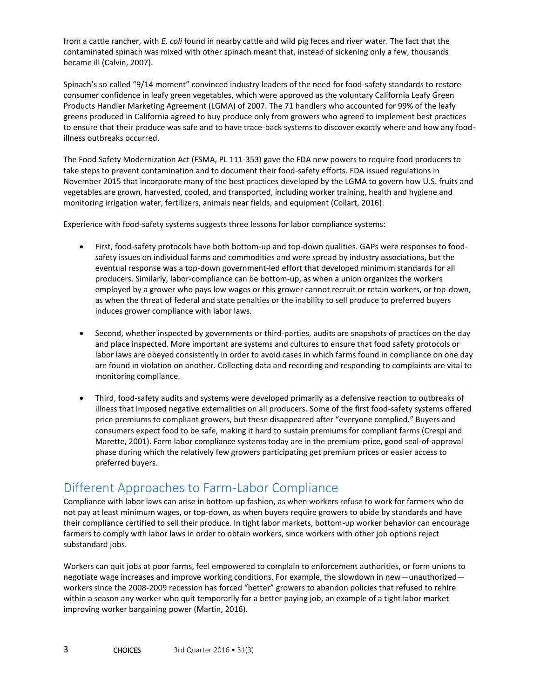from a cattle rancher, with *E. coli* found in nearby cattle and wild pig feces and river water. The fact that the contaminated spinach was mixed with other spinach meant that, instead of sickening only a few, thousands became ill (Calvin, 2007).

Spinach's so-called "9/14 moment" convinced industry leaders of the need for food-safety standards to restore consumer confidence in leafy green vegetables, which were approved as the voluntary California Leafy Green Products Handler Marketing Agreement (LGMA) of 2007. The 71 handlers who accounted for 99% of the leafy greens produced in California agreed to buy produce only from growers who agreed to implement best practices to ensure that their produce was safe and to have trace-back systems to discover exactly where and how any foodillness outbreaks occurred.

The Food Safety Modernization Act (FSMA, PL 111-353) gave the FDA new powers to require food producers to take steps to prevent contamination and to document their food-safety efforts. FDA issued regulations in November 2015 that incorporate many of the best practices developed by the LGMA to govern how U.S. fruits and vegetables are grown, harvested, cooled, and transported, including worker training, health and hygiene and monitoring irrigation water, fertilizers, animals near fields, and equipment (Collart, 2016).

Experience with food-safety systems suggests three lessons for labor compliance systems:

- First, food-safety protocols have both bottom-up and top-down qualities. GAPs were responses to foodsafety issues on individual farms and commodities and were spread by industry associations, but the eventual response was a top-down government-led effort that developed minimum standards for all producers. Similarly, labor-compliance can be bottom-up, as when a union organizes the workers employed by a grower who pays low wages or this grower cannot recruit or retain workers, or top-down, as when the threat of federal and state penalties or the inability to sell produce to preferred buyers induces grower compliance with labor laws.
- Second, whether inspected by governments or third-parties, audits are snapshots of practices on the day and place inspected. More important are systems and cultures to ensure that food safety protocols or labor laws are obeyed consistently in order to avoid cases in which farms found in compliance on one day are found in violation on another. Collecting data and recording and responding to complaints are vital to monitoring compliance.
- Third, food-safety audits and systems were developed primarily as a defensive reaction to outbreaks of illness that imposed negative externalities on all producers. Some of the first food-safety systems offered price premiums to compliant growers, but these disappeared after "everyone complied." Buyers and consumers expect food to be safe, making it hard to sustain premiums for compliant farms (Crespi and Marette, 2001). Farm labor compliance systems today are in the premium-price, good seal-of-approval phase during which the relatively few growers participating get premium prices or easier access to preferred buyers.

## Different Approaches to Farm-Labor Compliance

Compliance with labor laws can arise in bottom-up fashion, as when workers refuse to work for farmers who do not pay at least minimum wages, or top-down, as when buyers require growers to abide by standards and have their compliance certified to sell their produce. In tight labor markets, bottom-up worker behavior can encourage farmers to comply with labor laws in order to obtain workers, since workers with other job options reject substandard jobs.

Workers can quit jobs at poor farms, feel empowered to complain to enforcement authorities, or form unions to negotiate wage increases and improve working conditions. For example, the slowdown in new—unauthorized workers since the 2008-2009 recession has forced "better" growers to abandon policies that refused to rehire within a season any worker who quit temporarily for a better paying job, an example of a tight labor market improving worker bargaining power (Martin, 2016).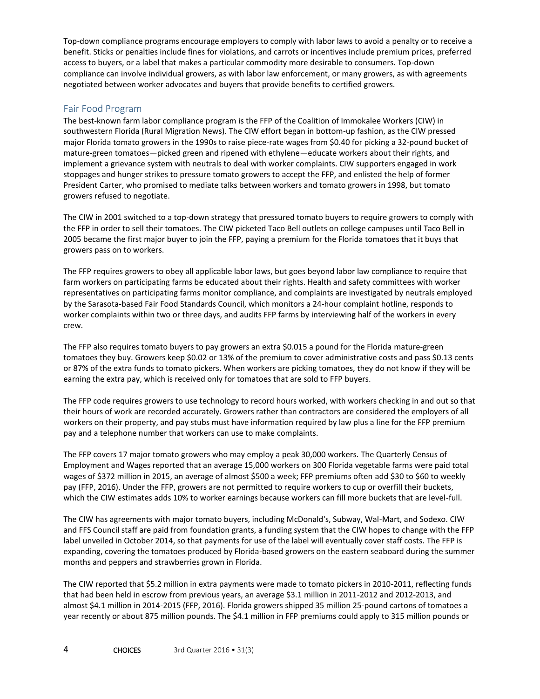Top-down compliance programs encourage employers to comply with labor laws to avoid a penalty or to receive a benefit. Sticks or penalties include fines for violations, and carrots or incentives include premium prices, preferred access to buyers, or a label that makes a particular commodity more desirable to consumers. Top-down compliance can involve individual growers, as with labor law enforcement, or many growers, as with agreements negotiated between worker advocates and buyers that provide benefits to certified growers.

#### Fair Food Program

The best-known farm labor compliance program is the FFP of the Coalition of Immokalee Workers (CIW) in southwestern Florida (Rural Migration News). The CIW effort began in bottom-up fashion, as the CIW pressed major Florida tomato growers in the 1990s to raise piece-rate wages from \$0.40 for picking a 32-pound bucket of mature-green tomatoes—picked green and ripened with ethylene—educate workers about their rights, and implement a grievance system with neutrals to deal with worker complaints. CIW supporters engaged in work stoppages and hunger strikes to pressure tomato growers to accept the FFP, and enlisted the help of former President Carter, who promised to mediate talks between workers and tomato growers in 1998, but tomato growers refused to negotiate.

The CIW in 2001 switched to a top-down strategy that pressured tomato buyers to require growers to comply with the FFP in order to sell their tomatoes. The CIW picketed Taco Bell outlets on college campuses until Taco Bell in 2005 became the first major buyer to join the FFP, paying a premium for the Florida tomatoes that it buys that growers pass on to workers.

The FFP requires growers to obey all applicable labor laws, but goes beyond labor law compliance to require that farm workers on participating farms be educated about their rights. Health and safety committees with worker representatives on participating farms monitor compliance, and complaints are investigated by neutrals employed by the Sarasota-based Fair Food Standards Council, which monitors a 24-hour complaint hotline, responds to worker complaints within two or three days, and audits FFP farms by interviewing half of the workers in every crew.

The FFP also requires tomato buyers to pay growers an extra \$0.015 a pound for the Florida mature-green tomatoes they buy. Growers keep \$0.02 or 13% of the premium to cover administrative costs and pass \$0.13 cents or 87% of the extra funds to tomato pickers. When workers are picking tomatoes, they do not know if they will be earning the extra pay, which is received only for tomatoes that are sold to FFP buyers.

The FFP code requires growers to use technology to record hours worked, with workers checking in and out so that their hours of work are recorded accurately. Growers rather than contractors are considered the employers of all workers on their property, and pay stubs must have information required by law plus a line for the FFP premium pay and a telephone number that workers can use to make complaints.

The FFP covers 17 major tomato growers who may employ a peak 30,000 workers. The Quarterly Census of Employment and Wages reported that an average 15,000 workers on 300 Florida vegetable farms were paid total wages of \$372 million in 2015, an average of almost \$500 a week; FFP premiums often add \$30 to \$60 to weekly pay (FFP, 2016). Under the FFP, growers are not permitted to require workers to cup or overfill their buckets, which the CIW estimates adds 10% to worker earnings because workers can fill more buckets that are level-full.

The CIW has agreements with major tomato buyers, including McDonald's, Subway, Wal-Mart, and Sodexo. CIW and FFS Council staff are paid from foundation grants, a funding system that the CIW hopes to change with the FFP label unveiled in October 2014, so that payments for use of the label will eventually cover staff costs. The FFP is expanding, covering the tomatoes produced by Florida-based growers on the eastern seaboard during the summer months and peppers and strawberries grown in Florida.

The CIW reported that \$5.2 million in extra payments were made to tomato pickers in 2010-2011, reflecting funds that had been held in escrow from previous years, an average \$3.1 million in 2011-2012 and 2012-2013, and almost \$4.1 million in 2014-2015 (FFP, 2016). Florida growers shipped 35 million 25-pound cartons of tomatoes a year recently or about 875 million pounds. The \$4.1 million in FFP premiums could apply to 315 million pounds or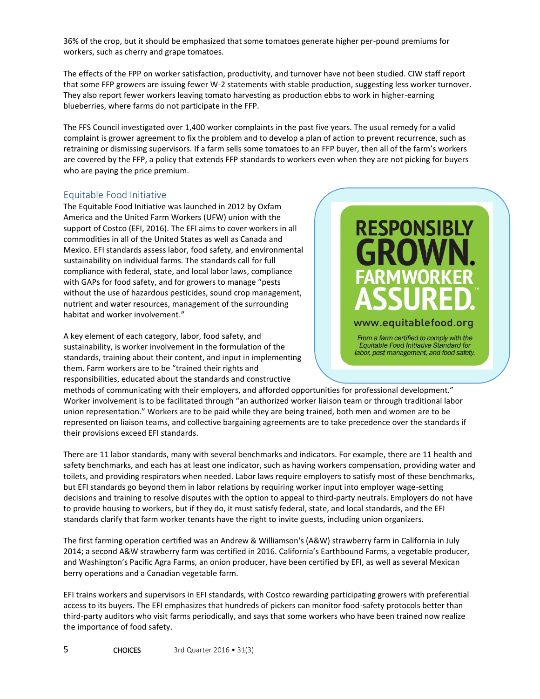36% of the crop, but it should be emphasized that some tomatoes generate higher per-pound premiums for workers, such as cherry and grape tomatoes.

The effects of the FPP on worker satisfaction, productivity, and turnover have not been studied. CIW staff report that some FFP growers are issuing fewer W-2 statements with stable production, suggesting less worker turnover. They also report fewer workers leaving tomato harvesting as production ebbs to work in higher-earning blueberries, where farms do not participate in the FFP.

The FFS Council investigated over 1,400 worker complaints in the past five years. The usual remedy for a valid complaint is grower agreement to fix the problem and to develop a plan of action to prevent recurrence, such as retraining or dismissing supervisors. If a farm sells some tomatoes to an FFP buyer, then all of the farm's workers are covered by the FFP, a policy that extends FFP standards to workers even when they are not picking for buyers who are paying the price premium.

#### Equitable Food Initiative

The Equitable Food Initiative was launched in 2012 by Oxfam America and the United Farm Workers (UFW) union with the support of Costco (EFI, 2016). The EFI aims to cover workers in all commodities in all of the United States as well as Canada and Mexico. EFI standards assess labor, food safety, and environmental sustainability on individual farms. The standards call for full compliance with federal, state, and local labor laws, compliance with GAPs for food safety, and for growers to manage "pests without the use of hazardous pesticides, sound crop management, nutrient and water resources, management of the surrounding habitat and worker involvement."

A key element of each category, labor, food safety, and sustainability, is worker involvement in the formulation of the standards, training about their content, and input in implementing them. Farm workers are to be "trained their rights and responsibilities, educated about the standards and constructive



From a farm certified to comply with the Equitable Food Initiative Standard for labor, pest management, and food safety.

methods of communicating with their employers, and afforded opportunities for professional development." Worker involvement is to be facilitated through "an authorized worker liaison team or through traditional labor union representation." Workers are to be paid while they are being trained, both men and women are to be represented on liaison teams, and collective bargaining agreements are to take precedence over the standards if their provisions exceed EFI standards.

There are 11 labor standards, many with several benchmarks and indicators. For example, there are 11 health and safety benchmarks, and each has at least one indicator, such as having workers compensation, providing water and toilets, and providing respirators when needed. Labor laws require employers to satisfy most of these benchmarks, but EFI standards go beyond them in labor relations by requiring worker input into employer wage-setting decisions and training to resolve disputes with the option to appeal to third-party neutrals. Employers do not have to provide housing to workers, but if they do, it must satisfy federal, state, and local standards, and the EFI standards clarify that farm worker tenants have the right to invite guests, including union organizers.

The first farming operation certified was an Andrew & Williamson's (A&W) strawberry farm in California in July 2014; a second A&W strawberry farm was certified in 2016. California's Earthbound Farms, a vegetable producer, and Washington's Pacific Agra Farms, an onion producer, have been certified by EFI, as well as several Mexican berry operations and a Canadian vegetable farm.

EFI trains workers and supervisors in EFI standards, with Costco rewarding participating growers with preferential access to its buyers. The EFI emphasizes that hundreds of pickers can monitor food-safety protocols better than third-party auditors who visit farms periodically, and says that some workers who have been trained now realize the importance of food safety.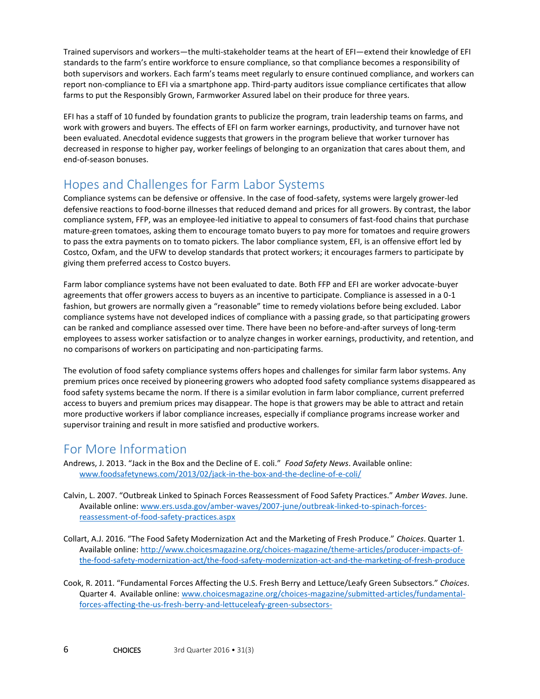Trained supervisors and workers—the multi-stakeholder teams at the heart of EFI—extend their knowledge of EFI standards to the farm's entire workforce to ensure compliance, so that compliance becomes a responsibility of both supervisors and workers. Each farm's teams meet regularly to ensure continued compliance, and workers can report non-compliance to EFI via a smartphone app. Third-party auditors issue compliance certificates that allow farms to put the Responsibly Grown, Farmworker Assured label on their produce for three years.

EFI has a staff of 10 funded by foundation grants to publicize the program, train leadership teams on farms, and work with growers and buyers. The effects of EFI on farm worker earnings, productivity, and turnover have not been evaluated. Anecdotal evidence suggests that growers in the program believe that worker turnover has decreased in response to higher pay, worker feelings of belonging to an organization that cares about them, and end-of-season bonuses.

# Hopes and Challenges for Farm Labor Systems

Compliance systems can be defensive or offensive. In the case of food-safety, systems were largely grower-led defensive reactions to food-borne illnesses that reduced demand and prices for all growers. By contrast, the labor compliance system, FFP, was an employee-led initiative to appeal to consumers of fast-food chains that purchase mature-green tomatoes, asking them to encourage tomato buyers to pay more for tomatoes and require growers to pass the extra payments on to tomato pickers. The labor compliance system, EFI, is an offensive effort led by Costco, Oxfam, and the UFW to develop standards that protect workers; it encourages farmers to participate by giving them preferred access to Costco buyers.

Farm labor compliance systems have not been evaluated to date. Both FFP and EFI are worker advocate-buyer agreements that offer growers access to buyers as an incentive to participate. Compliance is assessed in a 0-1 fashion, but growers are normally given a "reasonable" time to remedy violations before being excluded. Labor compliance systems have not developed indices of compliance with a passing grade, so that participating growers can be ranked and compliance assessed over time. There have been no before-and-after surveys of long-term employees to assess worker satisfaction or to analyze changes in worker earnings, productivity, and retention, and no comparisons of workers on participating and non-participating farms.

The evolution of food safety compliance systems offers hopes and challenges for similar farm labor systems. Any premium prices once received by pioneering growers who adopted food safety compliance systems disappeared as food safety systems became the norm. If there is a similar evolution in farm labor compliance, current preferred access to buyers and premium prices may disappear. The hope is that growers may be able to attract and retain more productive workers if labor compliance increases, especially if compliance programs increase worker and supervisor training and result in more satisfied and productive workers.

## For More Information

Andrews, J. 2013. "Jack in the Box and the Decline of E. coli." *Food Safety News*. Available online: [www.foodsafetynews.com/2013/02/jack-in-the-box-and-the-decline-of-e-coli/](file:///C:/Users/ascheetz/AppData/Local/Microsoft/Windows/Temporary%20Internet%20Files/Content.Outlook/JWFFD5ME/www.foodsafetynews.com/2013/02/jack-in-the-box-and-the-decline-of-e-coli/)

- Calvin, L. 2007. "Outbreak Linked to Spinach Forces Reassessment of Food Safety Practices." *Amber Waves*. June. Available online[: www.ers.usda.gov/amber-waves/2007-june/outbreak-linked-to-spinach-forces](http://www.ers.usda.gov/amber-waves/2007-june/outbreak-linked-to-spinach-forces-reassessment-of-food-safety-practices.aspx)[reassessment-of-food-safety-practices.aspx](http://www.ers.usda.gov/amber-waves/2007-june/outbreak-linked-to-spinach-forces-reassessment-of-food-safety-practices.aspx)
- Collart, A.J. 2016. "The Food Safety Modernization Act and the Marketing of Fresh Produce." *Choices*. Quarter 1. Available online[: http://www.choicesmagazine.org/choices-magazine/theme-articles/producer-impacts-of](http://www.choicesmagazine.org/choices-magazine/theme-articles/producer-impacts-of-the-food-safety-modernization-act/the-food-safety-modernization-act-and-the-marketing-of-fresh-produce)[the-food-safety-modernization-act/the-food-safety-modernization-act-and-the-marketing-of-fresh-produce](http://www.choicesmagazine.org/choices-magazine/theme-articles/producer-impacts-of-the-food-safety-modernization-act/the-food-safety-modernization-act-and-the-marketing-of-fresh-produce)
- Cook, R. 2011. "Fundamental Forces Affecting the U.S. Fresh Berry and Lettuce/Leafy Green Subsectors." *Choices*. Quarter 4. Available online: [www.choicesmagazine.org/choices-magazine/submitted-articles/fundamental](http://www.choicesmagazine.org/choices-magazine/submitted-articles/fundamental-forces-affecting-the-us-fresh-berry-and-lettuceleafy-green-subsectors-)[forces-affecting-the-us-fresh-berry-and-lettuceleafy-green-subsectors-](http://www.choicesmagazine.org/choices-magazine/submitted-articles/fundamental-forces-affecting-the-us-fresh-berry-and-lettuceleafy-green-subsectors-)